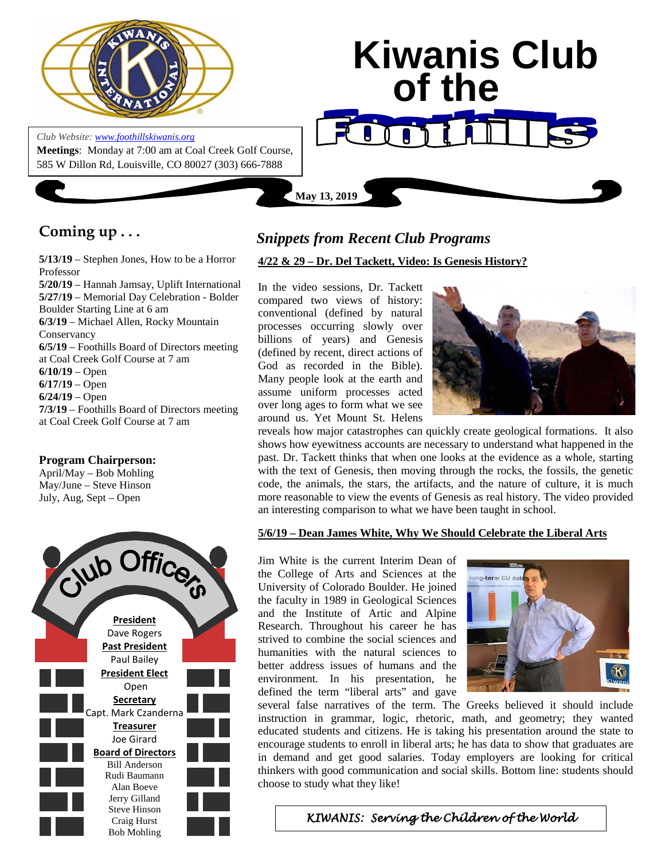

*Club Website[: www.foothillskiwanis.org](file:///C:\Users\Bob\AppData\Local\Microsoft\Windows\Temporary%20Internet%20Files\Bob\AppData\Local\Microsoft\Users\Users\Bob\AppData\Local\Microsoft\Users\Bob\AppData\Local\Microsoft\Users\Bob\AppData\Local\Microsoft\Users\Bob\AppData\Local\Microsoft\Users\Bob\AppData\Local\Microsoft\Documents%20and%20Settings\Users\Bob\AppData\Local\Microsoft\Windows\Temporary%20Internet%20Files\AppData\Local\Microsoft\Windows\Temporary%20Internet%20Files\AppData\Local\Microsoft\Documents%20and%20Settings\Kerry%20Hassler\Users\Hugh\AppData\AppData\Local\Microsoft\Documents%20and%20Settings\AppData\Local\Temp\www.foothillskiwanis.org)*



## **Coming up . . .**

**5/13/19** – Stephen Jones, How to be a Horror Professor **5/20/19** – Hannah Jamsay, Uplift International **5/27/19** – Memorial Day Celebration - Bolder Boulder Starting Line at 6 am **6/3/19** – Michael Allen, Rocky Mountain Conservancy **6/5/19** – Foothills Board of Directors meeting at Coal Creek Golf Course at 7 am **6/10/19** – Open **6/17/19** – Open **6/24/19** – Open **7/3/19** – Foothills Board of Directors meeting at Coal Creek Golf Course at 7 am

#### **Program Chairperson:**

April/May – Bob Mohling May/June – Steve Hinson July, Aug, Sept – Open



## *Snippets from Recent Club Programs*

#### **4/22 & 29 – Dr. Del Tackett, Video: Is Genesis History?**

In the video sessions, Dr. Tackett compared two views of history: conventional (defined by natural processes occurring slowly over billions of years) and Genesis (defined by recent, direct actions of God as recorded in the Bible). Many people look at the earth and assume uniform processes acted over long ages to form what we see around us. Yet Mount St. Helens



reveals how major catastrophes can quickly create geological formations. It also shows how eyewitness accounts are necessary to understand what happened in the past. Dr. Tackett thinks that when one looks at the evidence as a whole, starting with the text of Genesis, then moving through the rocks, the fossils, the genetic code, the animals, the stars, the artifacts, and the nature of culture, it is much more reasonable to view the events of Genesis as real history. The video provided an interesting comparison to what we have been taught in school.

#### **5/6/19 – Dean James White, Why We Should Celebrate the Liberal Arts**

Jim White is the current Interim Dean of the College of Arts and Sciences at the University of Colorado Boulder. He joined the faculty in 1989 in Geological Sciences and the Institute of Artic and Alpine Research. Throughout his career he has strived to combine the social sciences and humanities with the natural sciences to better address issues of humans and the environment. In his presentation, he defined the term "liberal arts" and gave



several false narratives of the term. The Greeks believed it should include instruction in grammar, logic, rhetoric, math, and geometry; they wanted educated students and citizens. He is taking his presentation around the state to encourage students to enroll in liberal arts; he has data to show that graduates are in demand and get good salaries. Today employers are looking for critical thinkers with good communication and social skills. Bottom line: students should choose to study what they like!

**4/14/19 – Stars of Tomorrow Talent Show** *KIWANIS: Serving the Children of the World*